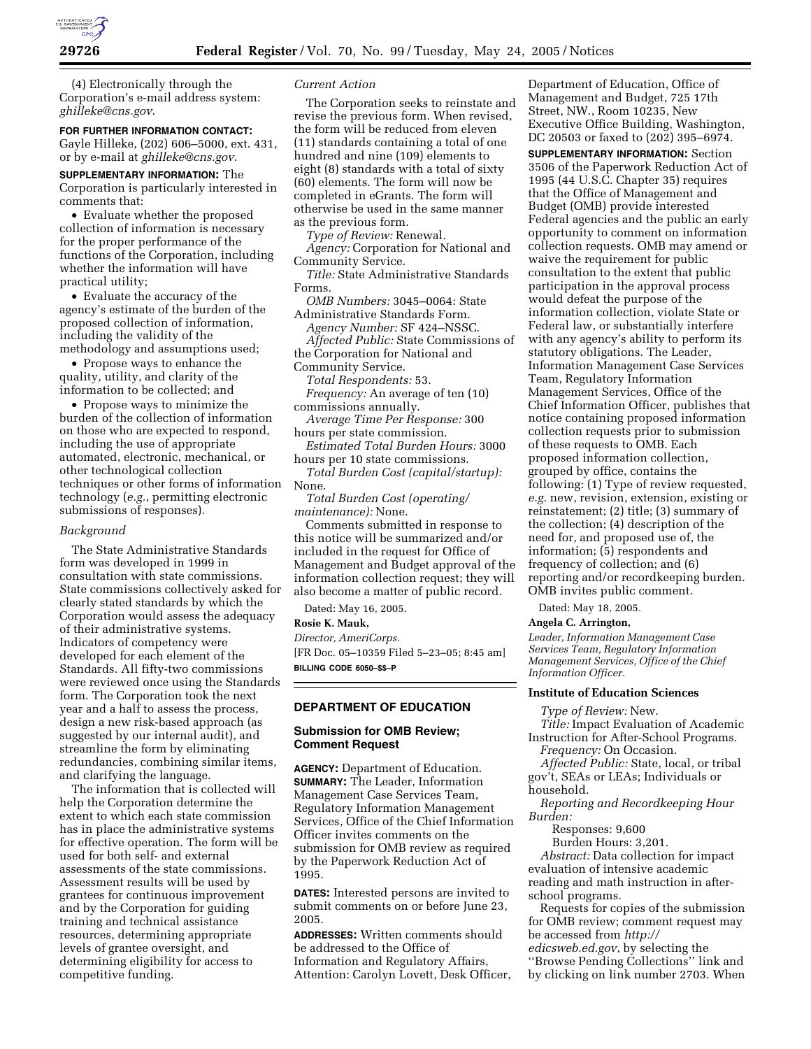

(4) Electronically through the Corporation's e-mail address system: *ghilleke@cns.gov*.

### **FOR FURTHER INFORMATION CONTACT:**

Gayle Hilleke, (202) 606–5000, ext. 431, or by e-mail at *ghilleke@cns.gov*.

**SUPPLEMENTARY INFORMATION:** The Corporation is particularly interested in comments that:

• Evaluate whether the proposed collection of information is necessary for the proper performance of the functions of the Corporation, including whether the information will have practical utility;

• Evaluate the accuracy of the agency's estimate of the burden of the proposed collection of information, including the validity of the methodology and assumptions used;

• Propose ways to enhance the quality, utility, and clarity of the information to be collected; and

• Propose ways to minimize the burden of the collection of information on those who are expected to respond, including the use of appropriate automated, electronic, mechanical, or other technological collection techniques or other forms of information technology (*e.g.*, permitting electronic submissions of responses).

### *Background*

The State Administrative Standards form was developed in 1999 in consultation with state commissions. State commissions collectively asked for clearly stated standards by which the Corporation would assess the adequacy of their administrative systems. Indicators of competency were developed for each element of the Standards. All fifty-two commissions were reviewed once using the Standards form. The Corporation took the next year and a half to assess the process, design a new risk-based approach (as suggested by our internal audit), and streamline the form by eliminating redundancies, combining similar items, and clarifying the language.

The information that is collected will help the Corporation determine the extent to which each state commission has in place the administrative systems for effective operation. The form will be used for both self- and external assessments of the state commissions. Assessment results will be used by grantees for continuous improvement and by the Corporation for guiding training and technical assistance resources, determining appropriate levels of grantee oversight, and determining eligibility for access to competitive funding.

### *Current Action*

The Corporation seeks to reinstate and revise the previous form. When revised, the form will be reduced from eleven (11) standards containing a total of one hundred and nine (109) elements to eight (8) standards with a total of sixty (60) elements. The form will now be completed in eGrants. The form will otherwise be used in the same manner as the previous form.

*Type of Review:* Renewal.

*Agency:* Corporation for National and Community Service.

*Title:* State Administrative Standards Forms.

*OMB Numbers:* 3045–0064: State Administrative Standards Form.

*Agency Number:* SF 424–NSSC.

*Affected Public:* State Commissions of the Corporation for National and

Community Service.

*Total Respondents:* 53. *Frequency:* An average of ten (10)

commissions annually.

*Average Time Per Response:* 300 hours per state commission.

*Estimated Total Burden Hours:* 3000 hours per 10 state commissions.

*Total Burden Cost (capital/startup):* None.

*Total Burden Cost (operating/ maintenance):* None.

Comments submitted in response to this notice will be summarized and/or included in the request for Office of Management and Budget approval of the information collection request; they will also become a matter of public record.

Dated: May 16, 2005.

### **Rosie K. Mauk,**

*Director, AmeriCorps.*

[FR Doc. 05–10359 Filed 5–23–05; 8:45 am] **BILLING CODE 6050–\$\$–P**

# **DEPARTMENT OF EDUCATION**

# **Submission for OMB Review; Comment Request**

**AGENCY:** Department of Education. **SUMMARY:** The Leader, Information Management Case Services Team, Regulatory Information Management Services, Office of the Chief Information Officer invites comments on the submission for OMB review as required by the Paperwork Reduction Act of 1995.

**DATES:** Interested persons are invited to submit comments on or before June 23, 2005.

**ADDRESSES:** Written comments should be addressed to the Office of Information and Regulatory Affairs, Attention: Carolyn Lovett, Desk Officer,

Department of Education, Office of Management and Budget, 725 17th Street, NW., Room 10235, New Executive Office Building, Washington, DC 20503 or faxed to (202) 395–6974.

**SUPPLEMENTARY INFORMATION:** Section 3506 of the Paperwork Reduction Act of 1995 (44 U.S.C. Chapter 35) requires that the Office of Management and Budget (OMB) provide interested Federal agencies and the public an early opportunity to comment on information collection requests. OMB may amend or waive the requirement for public consultation to the extent that public participation in the approval process would defeat the purpose of the information collection, violate State or Federal law, or substantially interfere with any agency's ability to perform its statutory obligations. The Leader, Information Management Case Services Team, Regulatory Information Management Services, Office of the Chief Information Officer, publishes that notice containing proposed information collection requests prior to submission of these requests to OMB. Each proposed information collection, grouped by office, contains the following: (1) Type of review requested, *e.g.* new, revision, extension, existing or reinstatement; (2) title; (3) summary of the collection; (4) description of the need for, and proposed use of, the information; (5) respondents and frequency of collection; and (6) reporting and/or recordkeeping burden. OMB invites public comment.

Dated: May 18, 2005.

#### **Angela C. Arrington,**

*Leader, Information Management Case Services Team, Regulatory Information Management Services, Office of the Chief Information Officer.*

### **Institute of Education Sciences**

*Type of Review:* New.

*Title:* Impact Evaluation of Academic Instruction for After-School Programs.

*Frequency:* On Occasion. *Affected Public:* State, local, or tribal

gov't, SEAs or LEAs; Individuals or household.

*Reporting and Recordkeeping Hour Burden:*

Responses: 9,600

Burden Hours: 3,201.

*Abstract:* Data collection for impact evaluation of intensive academic reading and math instruction in afterschool programs.

Requests for copies of the submission for OMB review; comment request may be accessed from *http:// edicsweb.ed.gov*, by selecting the

''Browse Pending Collections'' link and by clicking on link number 2703. When